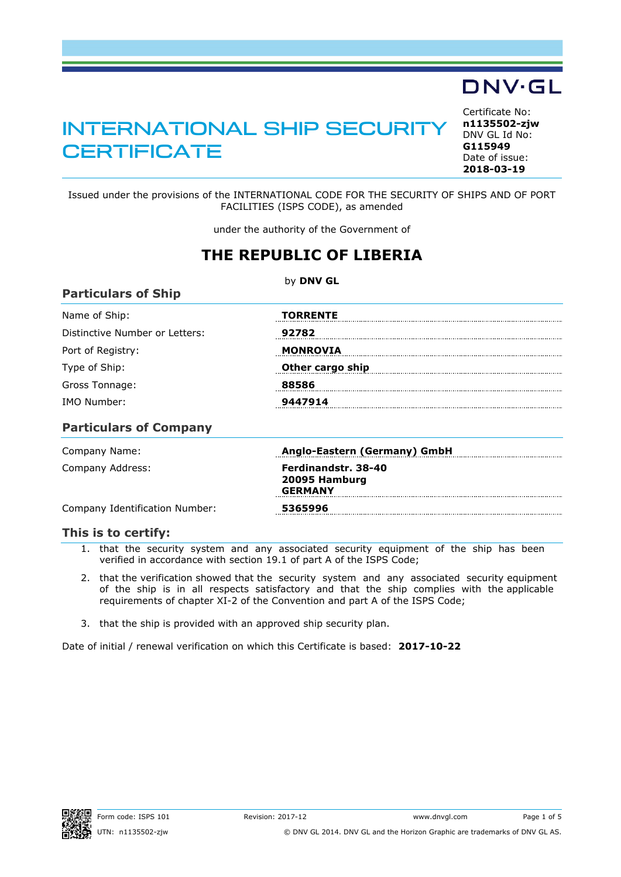# INTERNATIONAL SHIP SECURITY **CERTIFICATE**

<span id="page-0-0"></span>Certificate No: **n1135502-zjw** DNV GL Id No: **G115949** Date of issue: **[2018-03-19](#page-1-0)**

Issued under the provisions of the INTERNATIONAL CODE FOR THE SECURITY OF SHIPS AND OF PORT FACILITIES (ISPS CODE), as amended

under the authority of the Government of

## **THE REPUBLIC OF LIBERIA**

by **DNV GL**

| Name of Ship:                         | <b>TORRENTE</b>  |
|---------------------------------------|------------------|
| Distinctive Number or Letters:        | 92782            |
| Port of Registry:                     | <b>MONROVIA</b>  |
| Type of Ship:                         | Other cargo ship |
| Gross Tonnage:                        | 88586            |
| IMO Number:                           | 9447914          |
| <b>B</b> and the state of Association |                  |

#### **Particulars of Company**

| Company Name:                  | Anglo-Eastern (Germany) GmbH                           |  |
|--------------------------------|--------------------------------------------------------|--|
| Company Address:               | Ferdinandstr, 38-40<br>20095 Hamburg<br><b>GERMANY</b> |  |
| Company Identification Number: | 5365996                                                |  |

#### **This is to certify:**

- 1. that the security system and any associated security equipment of the ship has been verified in accordance with section 19.1 of part A of the ISPS Code;
- 2. that the verification showed that the security system and any associated security equipment of the ship is in all respects satisfactory and that the ship complies with the applicable requirements of chapter XI-2 of the Convention and part A of the ISPS Code;
- 3. that the ship is provided with an approved ship security plan.

Date of initial / renewal verification on which this Certificate is based: **2017-10-22**

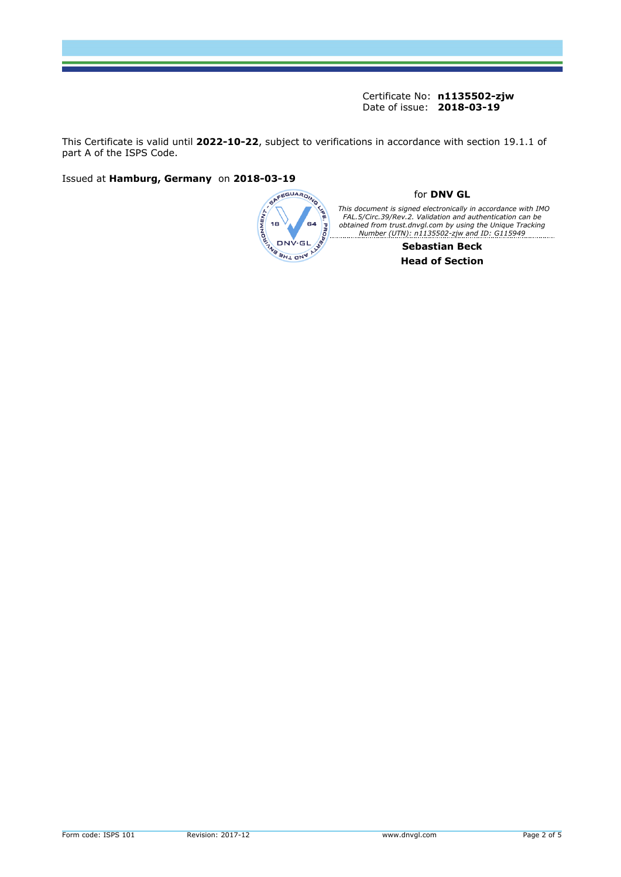This Certificate is valid until **2022-10-22**, subject to verifications in accordance with section 19.1.1 of part A of the ISPS Code.

Issued at **Hamburg, Germany** on **2018-03-19**

<span id="page-1-0"></span>

#### for **DNV GL**

This document is signed electronically in accordance with IMO<br>FAL.5/Circ.39/Rev.2. Validation and authentication can be<br>obtained from trust.dnvgl.com by using the Unique Tracking *Number (UTN): n1135502-zjw and ID: G115949*

**Sebastian Beck Head of Section**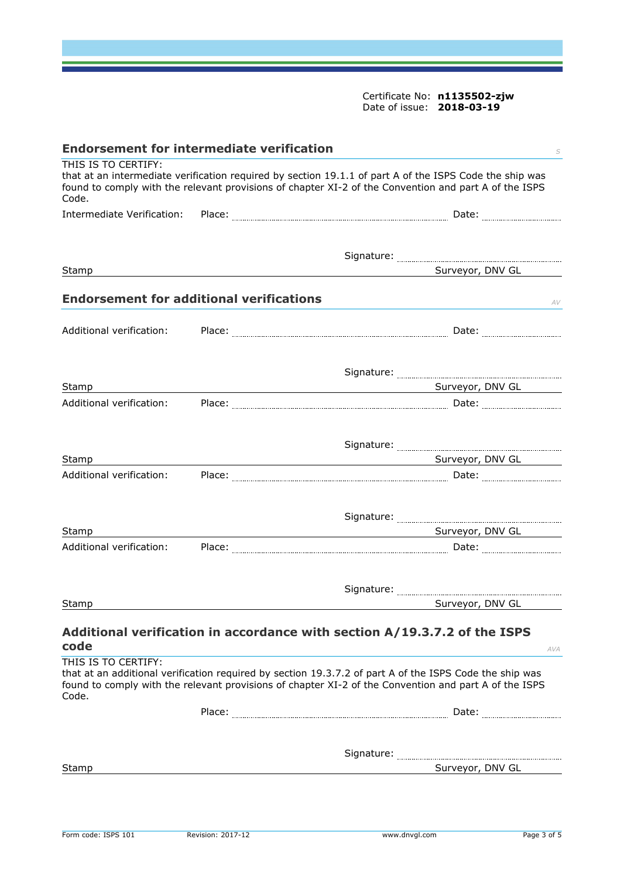<span id="page-2-0"></span>

| <b>Endorsement for intermediate verification</b><br>S                                                                                                                                                                                            |  |                                                                                                                                                                                                                  |  |  |
|--------------------------------------------------------------------------------------------------------------------------------------------------------------------------------------------------------------------------------------------------|--|------------------------------------------------------------------------------------------------------------------------------------------------------------------------------------------------------------------|--|--|
| THIS IS TO CERTIFY:<br>that at an intermediate verification required by section 19.1.1 of part A of the ISPS Code the ship was<br>found to comply with the relevant provisions of chapter XI-2 of the Convention and part A of the ISPS<br>Code. |  |                                                                                                                                                                                                                  |  |  |
| Intermediate Verification:                                                                                                                                                                                                                       |  |                                                                                                                                                                                                                  |  |  |
|                                                                                                                                                                                                                                                  |  |                                                                                                                                                                                                                  |  |  |
|                                                                                                                                                                                                                                                  |  |                                                                                                                                                                                                                  |  |  |
| Stamp                                                                                                                                                                                                                                            |  | Surveyor, DNV GL                                                                                                                                                                                                 |  |  |
| <b>Endorsement for additional verifications</b>                                                                                                                                                                                                  |  | AV                                                                                                                                                                                                               |  |  |
| Additional verification:                                                                                                                                                                                                                         |  |                                                                                                                                                                                                                  |  |  |
|                                                                                                                                                                                                                                                  |  |                                                                                                                                                                                                                  |  |  |
| Stamp                                                                                                                                                                                                                                            |  | Surveyor, DNV GL                                                                                                                                                                                                 |  |  |
| Additional verification:                                                                                                                                                                                                                         |  |                                                                                                                                                                                                                  |  |  |
|                                                                                                                                                                                                                                                  |  |                                                                                                                                                                                                                  |  |  |
| Stamp                                                                                                                                                                                                                                            |  | Surveyor, DNV GL Surveyor, DNV GL                                                                                                                                                                                |  |  |
| Additional verification:                                                                                                                                                                                                                         |  |                                                                                                                                                                                                                  |  |  |
|                                                                                                                                                                                                                                                  |  |                                                                                                                                                                                                                  |  |  |
| Stamp                                                                                                                                                                                                                                            |  | Surveyor, DNV GL<br><u> 1980 - Johann Stein, marwolaethau (b. 1980)</u>                                                                                                                                          |  |  |
| Additional verification:                                                                                                                                                                                                                         |  |                                                                                                                                                                                                                  |  |  |
|                                                                                                                                                                                                                                                  |  |                                                                                                                                                                                                                  |  |  |
| Stamp                                                                                                                                                                                                                                            |  | Surveyor, DNV GL                                                                                                                                                                                                 |  |  |
| code                                                                                                                                                                                                                                             |  | Additional verification in accordance with section A/19.3.7.2 of the ISPS                                                                                                                                        |  |  |
| THIS IS TO CERTIFY:                                                                                                                                                                                                                              |  | AVA                                                                                                                                                                                                              |  |  |
| Code.                                                                                                                                                                                                                                            |  | that at an additional verification required by section 19.3.7.2 of part A of the ISPS Code the ship was<br>found to comply with the relevant provisions of chapter XI-2 of the Convention and part A of the ISPS |  |  |
|                                                                                                                                                                                                                                                  |  |                                                                                                                                                                                                                  |  |  |
|                                                                                                                                                                                                                                                  |  |                                                                                                                                                                                                                  |  |  |
| Stamp                                                                                                                                                                                                                                            |  | Surveyor, DNV GL                                                                                                                                                                                                 |  |  |
|                                                                                                                                                                                                                                                  |  |                                                                                                                                                                                                                  |  |  |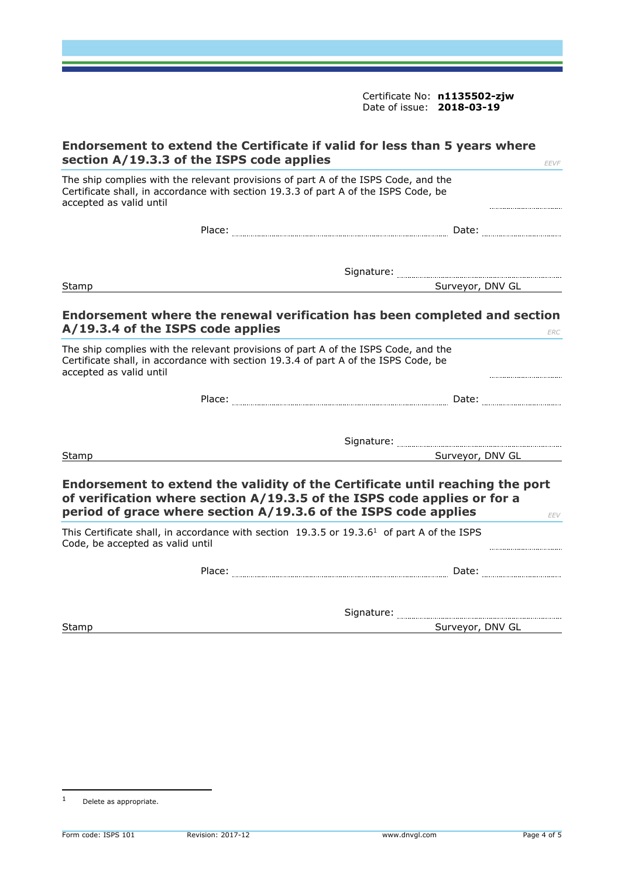| Endorsement to extend the Certificate if valid for less than 5 years where<br>section A/19.3.3 of the ISPS code applies<br><b>EEVF</b>                                                                                                                                                      |                  |  |  |
|---------------------------------------------------------------------------------------------------------------------------------------------------------------------------------------------------------------------------------------------------------------------------------------------|------------------|--|--|
| The ship complies with the relevant provisions of part A of the ISPS Code, and the<br>Certificate shall, in accordance with section 19.3.3 of part A of the ISPS Code, be<br>accepted as valid until                                                                                        |                  |  |  |
|                                                                                                                                                                                                                                                                                             |                  |  |  |
|                                                                                                                                                                                                                                                                                             |                  |  |  |
| Stamp                                                                                                                                                                                                                                                                                       | Surveyor, DNV GL |  |  |
| Endorsement where the renewal verification has been completed and section<br>A/19.3.4 of the ISPS code applies<br>The ship complies with the relevant provisions of part A of the ISPS Code, and the<br>Certificate shall, in accordance with section 19.3.4 of part A of the ISPS Code, be | <b>ERC</b>       |  |  |
| accepted as valid until                                                                                                                                                                                                                                                                     |                  |  |  |
|                                                                                                                                                                                                                                                                                             |                  |  |  |
|                                                                                                                                                                                                                                                                                             |                  |  |  |
| Stamp                                                                                                                                                                                                                                                                                       | Surveyor, DNV GL |  |  |
| Endorsement to extend the validity of the Certificate until reaching the port<br>of verification where section A/19.3.5 of the ISPS code applies or for a<br>period of grace where section A/19.3.6 of the ISPS code applies                                                                | EEV              |  |  |
| This Certificate shall, in accordance with section 19.3.5 or 19.3.6 <sup>1</sup> of part A of the ISPS<br>Code, be accepted as valid until                                                                                                                                                  |                  |  |  |
|                                                                                                                                                                                                                                                                                             |                  |  |  |
|                                                                                                                                                                                                                                                                                             |                  |  |  |
| Stamp                                                                                                                                                                                                                                                                                       | Surveyor, DNV GL |  |  |
|                                                                                                                                                                                                                                                                                             |                  |  |  |

<sup>1</sup> Delete as appropriate.